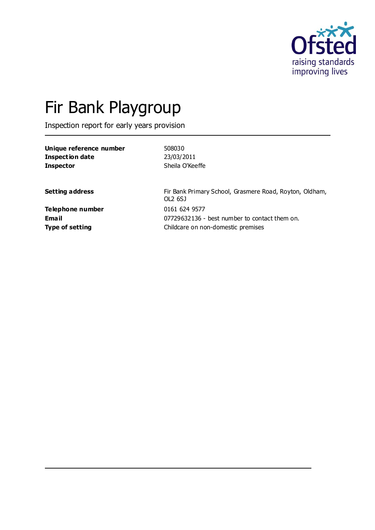

# Fir Bank Playgroup

Inspection report for early years provision

| Unique reference number | 508030                                                             |
|-------------------------|--------------------------------------------------------------------|
| <b>Inspection date</b>  | 23/03/2011                                                         |
| <b>Inspector</b>        | Sheila O'Keeffe                                                    |
| <b>Setting address</b>  | Fir Bank Primary School, Grasmere Road, Royton, Oldham,<br>OL2 6SJ |
| Telephone number        | 0161 624 9577                                                      |
| Email                   | 07729632136 - best number to contact them on.                      |
| <b>Type of setting</b>  | Childcare on non-domestic premises                                 |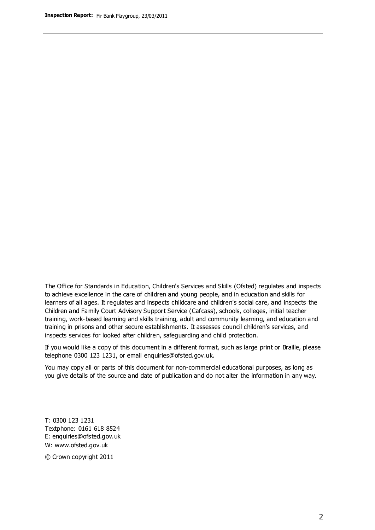The Office for Standards in Education, Children's Services and Skills (Ofsted) regulates and inspects to achieve excellence in the care of children and young people, and in education and skills for learners of all ages. It regulates and inspects childcare and children's social care, and inspects the Children and Family Court Advisory Support Service (Cafcass), schools, colleges, initial teacher training, work-based learning and skills training, adult and community learning, and education and training in prisons and other secure establishments. It assesses council children's services, and inspects services for looked after children, safeguarding and child protection.

If you would like a copy of this document in a different format, such as large print or Braille, please telephone 0300 123 1231, or email enquiries@ofsted.gov.uk.

You may copy all or parts of this document for non-commercial educational purposes, as long as you give details of the source and date of publication and do not alter the information in any way.

T: 0300 123 1231 Textphone: 0161 618 8524 E: enquiries@ofsted.gov.uk W: [www.ofsted.gov.uk](http://www.ofsted.gov.uk/)

© Crown copyright 2011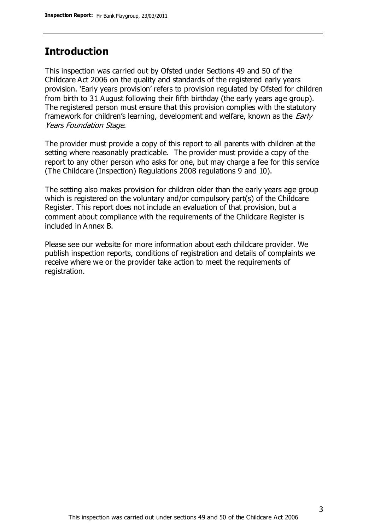## **Introduction**

This inspection was carried out by Ofsted under Sections 49 and 50 of the Childcare Act 2006 on the quality and standards of the registered early years provision. 'Early years provision' refers to provision regulated by Ofsted for children from birth to 31 August following their fifth birthday (the early years age group). The registered person must ensure that this provision complies with the statutory framework for children's learning, development and welfare, known as the *Early* Years Foundation Stage.

The provider must provide a copy of this report to all parents with children at the setting where reasonably practicable. The provider must provide a copy of the report to any other person who asks for one, but may charge a fee for this service (The Childcare (Inspection) Regulations 2008 regulations 9 and 10).

The setting also makes provision for children older than the early years age group which is registered on the voluntary and/or compulsory part(s) of the Childcare Register. This report does not include an evaluation of that provision, but a comment about compliance with the requirements of the Childcare Register is included in Annex B.

Please see our website for more information about each childcare provider. We publish inspection reports, conditions of registration and details of complaints we receive where we or the provider take action to meet the requirements of registration.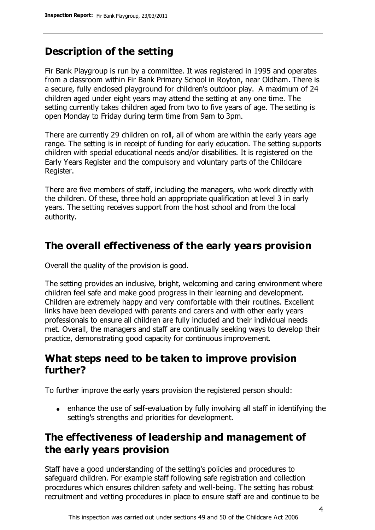# **Description of the setting**

Fir Bank Playgroup is run by a committee. It was registered in 1995 and operates from a classroom within Fir Bank Primary School in Royton, near Oldham. There is a secure, fully enclosed playground for children's outdoor play. A maximum of 24 children aged under eight years may attend the setting at any one time. The setting currently takes children aged from two to five years of age. The setting is open Monday to Friday during term time from 9am to 3pm.

There are currently 29 children on roll, all of whom are within the early years age range. The setting is in receipt of funding for early education. The setting supports children with special educational needs and/or disabilities. It is registered on the Early Years Register and the compulsory and voluntary parts of the Childcare Register.

There are five members of staff, including the managers, who work directly with the children. Of these, three hold an appropriate qualification at level 3 in early years. The setting receives support from the host school and from the local authority.

## **The overall effectiveness of the early years provision**

Overall the quality of the provision is good.

The setting provides an inclusive, bright, welcoming and caring environment where children feel safe and make good progress in their learning and development. Children are extremely happy and very comfortable with their routines. Excellent links have been developed with parents and carers and with other early years professionals to ensure all children are fully included and their individual needs met. Overall, the managers and staff are continually seeking ways to develop their practice, demonstrating good capacity for continuous improvement.

## **What steps need to be taken to improve provision further?**

To further improve the early years provision the registered person should:

enhance the use of self-evaluation by fully involving all staff in identifying the setting's strengths and priorities for development.

# **The effectiveness of leadership and management of the early years provision**

Staff have a good understanding of the setting's policies and procedures to safeguard children. For example staff following safe registration and collection procedures which ensures children safety and well-being. The setting has robust recruitment and vetting procedures in place to ensure staff are and continue to be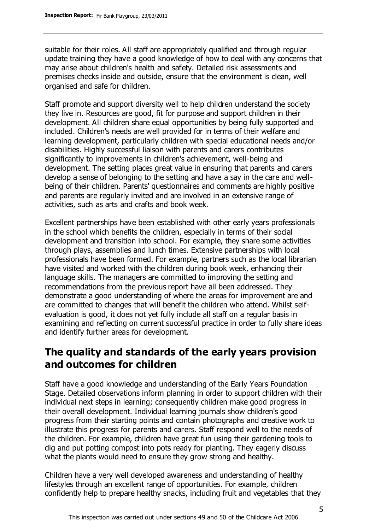suitable for their roles. All staff are appropriately qualified and through regular update training they have a good knowledge of how to deal with any concerns that may arise about children's health and safety. Detailed risk assessments and premises checks inside and outside, ensure that the environment is clean, well organised and safe for children.

Staff promote and support diversity well to help children understand the society they live in. Resources are good, fit for purpose and support children in their development. All children share equal opportunities by being fully supported and included. Children's needs are well provided for in terms of their welfare and learning development, particularly children with special educational needs and/or disabilities. Highly successful liaison with parents and carers contributes significantly to improvements in children's achievement, well-being and development. The setting places great value in ensuring that parents and carers develop a sense of belonging to the setting and have a say in the care and wellbeing of their children. Parents' questionnaires and comments are highly positive and parents are regularly invited and are involved in an extensive range of activities, such as arts and crafts and book week.

Excellent partnerships have been established with other early years professionals in the school which benefits the children, especially in terms of their social development and transition into school. For example, they share some activities through plays, assemblies and lunch times. Extensive partnerships with local professionals have been formed. For example, partners such as the local librarian have visited and worked with the children during book week, enhancing their language skills. The managers are committed to improving the setting and recommendations from the previous report have all been addressed. They demonstrate a good understanding of where the areas for improvement are and are committed to changes that will benefit the children who attend. Whilst selfevaluation is good, it does not yet fully include all staff on a regular basis in examining and reflecting on current successful practice in order to fully share ideas and identify further areas for development.

## **The quality and standards of the early years provision and outcomes for children**

Staff have a good knowledge and understanding of the Early Years Foundation Stage. Detailed observations inform planning in order to support children with their individual next steps in learning; consequently children make good progress in their overall development. Individual learning journals show children's good progress from their starting points and contain photographs and creative work to illustrate this progress for parents and carers. Staff respond well to the needs of the children. For example, children have great fun using their gardening tools to dig and put potting compost into pots ready for planting. They eagerly discuss what the plants would need to ensure they grow strong and healthy.

Children have a very well developed awareness and understanding of healthy lifestyles through an excellent range of opportunities. For example, children confidently help to prepare healthy snacks, including fruit and vegetables that they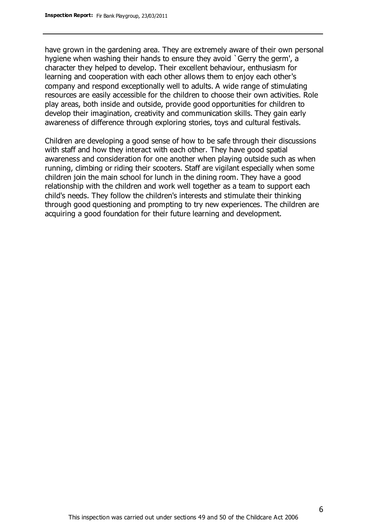have grown in the gardening area. They are extremely aware of their own personal hygiene when washing their hands to ensure they avoid `Gerry the germ', a character they helped to develop. Their excellent behaviour, enthusiasm for learning and cooperation with each other allows them to enjoy each other's company and respond exceptionally well to adults. A wide range of stimulating resources are easily accessible for the children to choose their own activities. Role play areas, both inside and outside, provide good opportunities for children to develop their imagination, creativity and communication skills. They gain early awareness of difference through exploring stories, toys and cultural festivals.

Children are developing a good sense of how to be safe through their discussions with staff and how they interact with each other. They have good spatial awareness and consideration for one another when playing outside such as when running, climbing or riding their scooters. Staff are vigilant especially when some children join the main school for lunch in the dining room. They have a good relationship with the children and work well together as a team to support each child's needs. They follow the children's interests and stimulate their thinking through good questioning and prompting to try new experiences. The children are acquiring a good foundation for their future learning and development.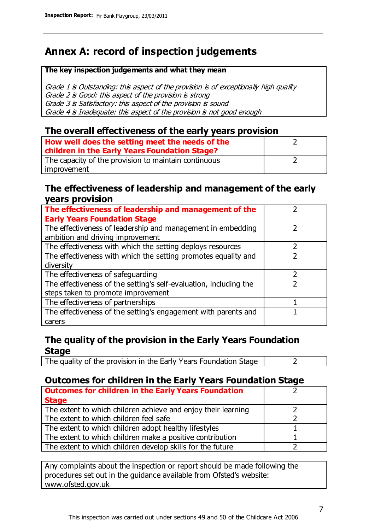# **Annex A: record of inspection judgements**

#### **The key inspection judgements and what they mean**

Grade 1 is Outstanding: this aspect of the provision is of exceptionally high quality Grade 2 is Good: this aspect of the provision is strong Grade 3 is Satisfactory: this aspect of the provision is sound Grade 4 is Inadequate: this aspect of the provision is not good enough

#### **The overall effectiveness of the early years provision**

| How well does the setting meet the needs of the<br>children in the Early Years Foundation Stage? |  |
|--------------------------------------------------------------------------------------------------|--|
| The capacity of the provision to maintain continuous                                             |  |
| improvement                                                                                      |  |

#### **The effectiveness of leadership and management of the early years provision**

| The effectiveness of leadership and management of the             |  |
|-------------------------------------------------------------------|--|
| <b>Early Years Foundation Stage</b>                               |  |
| The effectiveness of leadership and management in embedding       |  |
| ambition and driving improvement                                  |  |
| The effectiveness with which the setting deploys resources        |  |
| The effectiveness with which the setting promotes equality and    |  |
| diversity                                                         |  |
| The effectiveness of safeguarding                                 |  |
| The effectiveness of the setting's self-evaluation, including the |  |
| steps taken to promote improvement                                |  |
| The effectiveness of partnerships                                 |  |
| The effectiveness of the setting's engagement with parents and    |  |
| carers                                                            |  |

### **The quality of the provision in the Early Years Foundation Stage**

The quality of the provision in the Early Years Foundation Stage  $\vert$  2

#### **Outcomes for children in the Early Years Foundation Stage**

| <b>Outcomes for children in the Early Years Foundation</b>    |  |
|---------------------------------------------------------------|--|
| <b>Stage</b>                                                  |  |
| The extent to which children achieve and enjoy their learning |  |
| The extent to which children feel safe                        |  |
| The extent to which children adopt healthy lifestyles         |  |
| The extent to which children make a positive contribution     |  |
| The extent to which children develop skills for the future    |  |

Any complaints about the inspection or report should be made following the procedures set out in the guidance available from Ofsted's website: www.ofsted.gov.uk